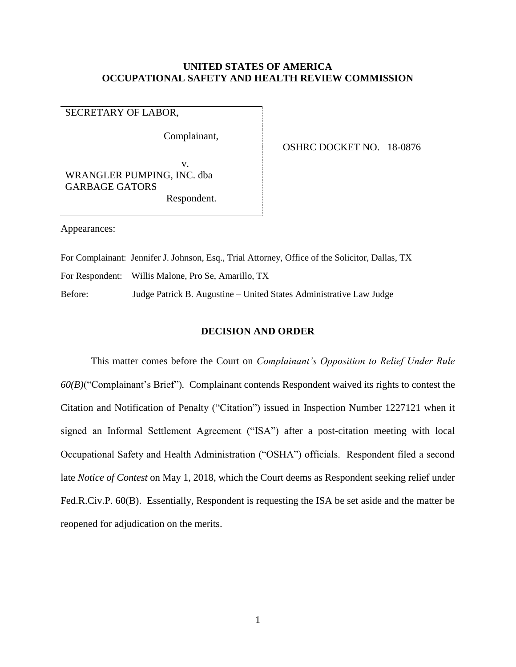# **UNITED STATES OF AMERICA OCCUPATIONAL SAFETY AND HEALTH REVIEW COMMISSION**

SECRETARY OF LABOR,

Complainant,

OSHRC DOCKET NO. 18-0876

v. WRANGLER PUMPING, INC. dba GARBAGE GATORS Respondent.

Appearances:

For Complainant:Jennifer J. Johnson, Esq., Trial Attorney, Office of the Solicitor, Dallas, TX

For Respondent: Willis Malone, Pro Se, Amarillo, TX

Before:Judge Patrick B. Augustine – United States Administrative Law Judge

### **DECISION AND ORDER**

This matter comes before the Court on *Complainant's Opposition to Relief Under Rule 60(B)*("Complainant's Brief")*.* Complainant contends Respondent waived its rights to contest the Citation and Notification of Penalty ("Citation") issued in Inspection Number 1227121 when it signed an Informal Settlement Agreement ("ISA") after a post-citation meeting with local Occupational Safety and Health Administration ("OSHA") officials. Respondent filed a second late *Notice of Contest* on May 1, 2018, which the Court deems as Respondent seeking relief under Fed.R.Civ.P. 60(B). Essentially, Respondent is requesting the ISA be set aside and the matter be reopened for adjudication on the merits.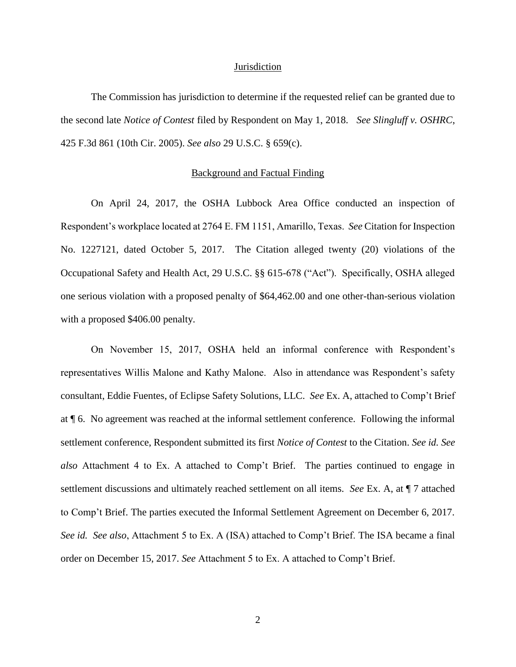#### **Jurisdiction**

The Commission has jurisdiction to determine if the requested relief can be granted due to the second late *Notice of Contest* filed by Respondent on May 1, 2018. *See Slingluff v. OSHRC*, 425 F.3d 861 (10th Cir. 2005). *See also* 29 U.S.C. § 659(c).

#### Background and Factual Finding

On April 24, 2017, the OSHA Lubbock Area Office conducted an inspection of Respondent's workplace located at 2764 E. FM 1151, Amarillo, Texas. *See* Citation for Inspection No. 1227121, dated October 5, 2017. The Citation alleged twenty (20) violations of the Occupational Safety and Health Act, 29 U.S.C. §§ 615-678 ("Act"). Specifically, OSHA alleged one serious violation with a proposed penalty of \$64,462.00 and one other-than-serious violation with a proposed \$406.00 penalty.

On November 15, 2017, OSHA held an informal conference with Respondent's representatives Willis Malone and Kathy Malone. Also in attendance was Respondent's safety consultant, Eddie Fuentes, of Eclipse Safety Solutions, LLC. *See* Ex. A, attached to Comp't Brief at ¶ 6. No agreement was reached at the informal settlement conference. Following the informal settlement conference, Respondent submitted its first *Notice of Contest* to the Citation. *See id. See also* Attachment 4 to Ex. A attached to Comp't Brief. The parties continued to engage in settlement discussions and ultimately reached settlement on all items. *See* Ex. A, at ¶ 7 attached to Comp't Brief. The parties executed the Informal Settlement Agreement on December 6, 2017. *See id. See also*, Attachment 5 to Ex. A (ISA) attached to Comp't Brief. The ISA became a final order on December 15, 2017. *See* Attachment 5 to Ex. A attached to Comp't Brief.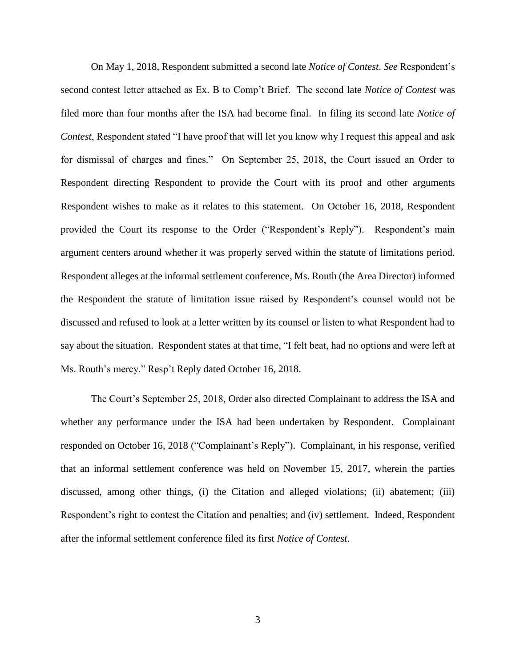On May 1, 2018, Respondent submitted a second late *Notice of Contest*. *See* Respondent's second contest letter attached as Ex. B to Comp't Brief. The second late *Notice of Contest* was filed more than four months after the ISA had become final. In filing its second late *Notice of Contest*, Respondent stated "I have proof that will let you know why I request this appeal and ask for dismissal of charges and fines." On September 25, 2018, the Court issued an Order to Respondent directing Respondent to provide the Court with its proof and other arguments Respondent wishes to make as it relates to this statement. On October 16, 2018, Respondent provided the Court its response to the Order ("Respondent's Reply"). Respondent's main argument centers around whether it was properly served within the statute of limitations period. Respondent alleges at the informal settlement conference, Ms. Routh (the Area Director) informed the Respondent the statute of limitation issue raised by Respondent's counsel would not be discussed and refused to look at a letter written by its counsel or listen to what Respondent had to say about the situation. Respondent states at that time, "I felt beat, had no options and were left at Ms. Routh's mercy." Resp't Reply dated October 16, 2018.

The Court's September 25, 2018, Order also directed Complainant to address the ISA and whether any performance under the ISA had been undertaken by Respondent. Complainant responded on October 16, 2018 ("Complainant's Reply"). Complainant, in his response, verified that an informal settlement conference was held on November 15, 2017, wherein the parties discussed, among other things, (i) the Citation and alleged violations; (ii) abatement; (iii) Respondent's right to contest the Citation and penalties; and (iv) settlement. Indeed, Respondent after the informal settlement conference filed its first *Notice of Contest*.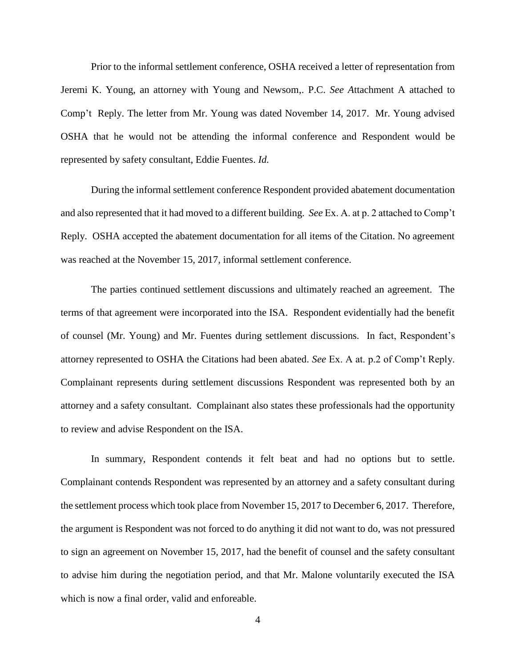Prior to the informal settlement conference, OSHA received a letter of representation from Jeremi K. Young, an attorney with Young and Newsom,. P.C. *See A*ttachment A attached to Comp't Reply. The letter from Mr. Young was dated November 14, 2017. Mr. Young advised OSHA that he would not be attending the informal conference and Respondent would be represented by safety consultant, Eddie Fuentes. *Id.* 

During the informal settlement conference Respondent provided abatement documentation and also represented that it had moved to a different building. *See* Ex. A. at p. 2 attached to Comp't Reply. OSHA accepted the abatement documentation for all items of the Citation. No agreement was reached at the November 15, 2017, informal settlement conference.

The parties continued settlement discussions and ultimately reached an agreement. The terms of that agreement were incorporated into the ISA. Respondent evidentially had the benefit of counsel (Mr. Young) and Mr. Fuentes during settlement discussions. In fact, Respondent's attorney represented to OSHA the Citations had been abated. *See* Ex. A at. p.2 of Comp't Reply. Complainant represents during settlement discussions Respondent was represented both by an attorney and a safety consultant. Complainant also states these professionals had the opportunity to review and advise Respondent on the ISA.

In summary, Respondent contends it felt beat and had no options but to settle. Complainant contends Respondent was represented by an attorney and a safety consultant during the settlement process which took place from November 15, 2017 to December 6, 2017. Therefore, the argument is Respondent was not forced to do anything it did not want to do, was not pressured to sign an agreement on November 15, 2017, had the benefit of counsel and the safety consultant to advise him during the negotiation period, and that Mr. Malone voluntarily executed the ISA which is now a final order, valid and enforeable.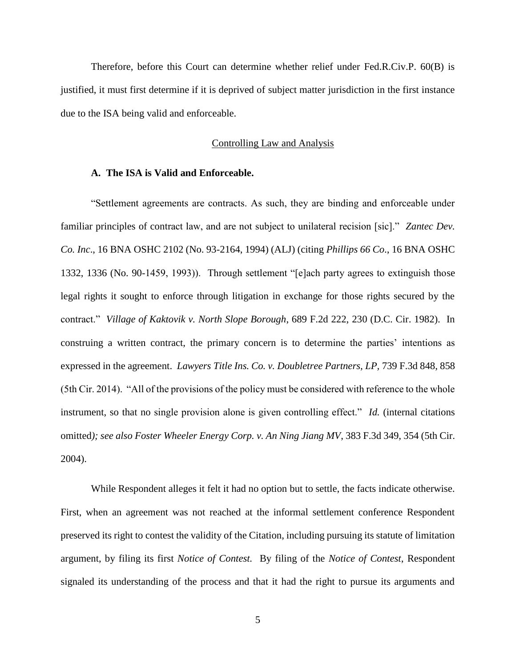Therefore, before this Court can determine whether relief under Fed.R.Civ.P. 60(B) is justified, it must first determine if it is deprived of subject matter jurisdiction in the first instance due to the ISA being valid and enforceable.

# Controlling Law and Analysis

# **A. The ISA is Valid and Enforceable.**

"Settlement agreements are contracts. As such, they are binding and enforceable under familiar principles of contract law, and are not subject to unilateral recision [sic]." *Zantec Dev. Co. Inc*., 16 BNA OSHC 2102 (No. 93-2164, 1994) (ALJ) (citing *Phillips 66 Co*., 16 BNA OSHC 1332, 1336 (No. 90-1459, 1993)). Through settlement "[e]ach party agrees to extinguish those legal rights it sought to enforce through litigation in exchange for those rights secured by the contract." *Village of Kaktovik v. North Slope Borough*, 689 F.2d 222, 230 (D.C. Cir. 1982). In construing a written contract, the primary concern is to determine the parties' intentions as expressed in the agreement. *Lawyers Title Ins. Co. v. Doubletree Partners, LP,* 739 F.3d 848, 858 (5th Cir. 2014). "All of the provisions of the policy must be considered with reference to the whole instrument, so that no single provision alone is given controlling effect." *Id.* (internal citations omitted*); see also Foster Wheeler Energy Corp. v. An Ning Jiang MV*, 383 F.3d 349, 354 (5th Cir. 2004).

While Respondent alleges it felt it had no option but to settle, the facts indicate otherwise. First, when an agreement was not reached at the informal settlement conference Respondent preserved its right to contest the validity of the Citation, including pursuing its statute of limitation argument, by filing its first *Notice of Contest.* By filing of the *Notice of Contest*, Respondent signaled its understanding of the process and that it had the right to pursue its arguments and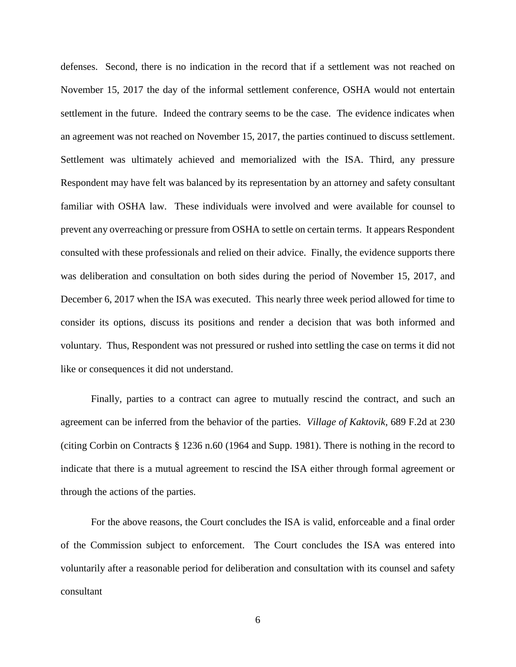defenses. Second, there is no indication in the record that if a settlement was not reached on November 15, 2017 the day of the informal settlement conference, OSHA would not entertain settlement in the future. Indeed the contrary seems to be the case. The evidence indicates when an agreement was not reached on November 15, 2017, the parties continued to discuss settlement. Settlement was ultimately achieved and memorialized with the ISA. Third, any pressure Respondent may have felt was balanced by its representation by an attorney and safety consultant familiar with OSHA law. These individuals were involved and were available for counsel to prevent any overreaching or pressure from OSHA to settle on certain terms. It appears Respondent consulted with these professionals and relied on their advice. Finally, the evidence supports there was deliberation and consultation on both sides during the period of November 15, 2017, and December 6, 2017 when the ISA was executed. This nearly three week period allowed for time to consider its options, discuss its positions and render a decision that was both informed and voluntary. Thus, Respondent was not pressured or rushed into settling the case on terms it did not like or consequences it did not understand.

Finally, parties to a contract can agree to mutually rescind the contract, and such an agreement can be inferred from the behavior of the parties. *Village of Kaktovik*, 689 F.2d at 230 (citing Corbin on Contracts § 1236 n.60 (1964 and Supp. 1981). There is nothing in the record to indicate that there is a mutual agreement to rescind the ISA either through formal agreement or through the actions of the parties.

For the above reasons, the Court concludes the ISA is valid, enforceable and a final order of the Commission subject to enforcement. The Court concludes the ISA was entered into voluntarily after a reasonable period for deliberation and consultation with its counsel and safety consultant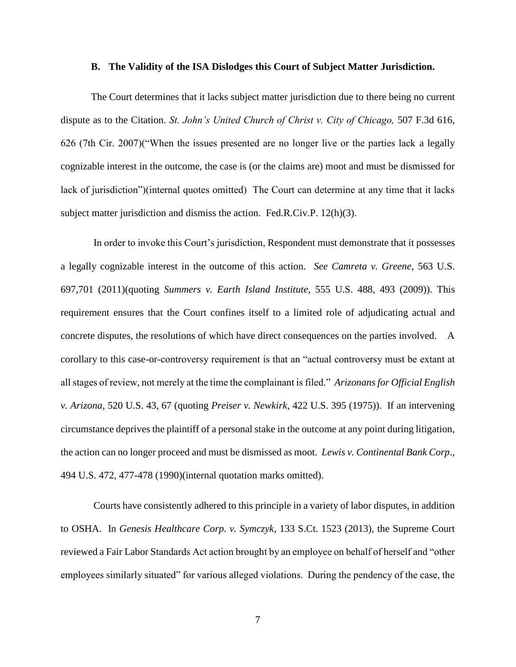### **B. The Validity of the ISA Dislodges this Court of Subject Matter Jurisdiction.**

The Court determines that it lacks subject matter jurisdiction due to there being no current dispute as to the Citation. *St. John's United Church of Christ v. City of Chicago,* 507 F.3d 616, 626 (7th Cir. 2007)("When the issues presented are no longer live or the parties lack a legally cognizable interest in the outcome, the case is (or the claims are) moot and must be dismissed for lack of jurisdiction")(internal quotes omitted) The Court can determine at any time that it lacks subject matter jurisdiction and dismiss the action. Fed.R.Civ.P. 12(h)(3).

In order to invoke this Court's jurisdiction, Respondent must demonstrate that it possesses a legally cognizable interest in the outcome of this action. *See Camreta v. Greene*, 563 U.S. 697,701 (2011)(quoting *Summers v. Earth Island Institute*, 555 U.S. 488, 493 (2009)). This requirement ensures that the Court confines itself to a limited role of adjudicating actual and concrete disputes, the resolutions of which have direct consequences on the parties involved. A corollary to this case-or-controversy requirement is that an "actual controversy must be extant at all stages of review, not merely at the time the complainant is filed." *Arizonans for Official English v. Arizona*, 520 U.S. 43, 67 (quoting *Preiser v. Newkirk*, 422 U.S. 395 (1975)). If an intervening circumstance deprives the plaintiff of a personal stake in the outcome at any point during litigation, the action can no longer proceed and must be dismissed as moot*. Lewis v. Continental Bank Corp*., 494 U.S. 472, 477-478 (1990)(internal quotation marks omitted).

Courts have consistently adhered to this principle in a variety of labor disputes, in addition to OSHA. In *Genesis Healthcare Corp. v. Symczyk*, 133 S.Ct. 1523 (2013), the Supreme Court reviewed a Fair Labor Standards Act action brought by an employee on behalf of herself and "other employees similarly situated" for various alleged violations. During the pendency of the case, the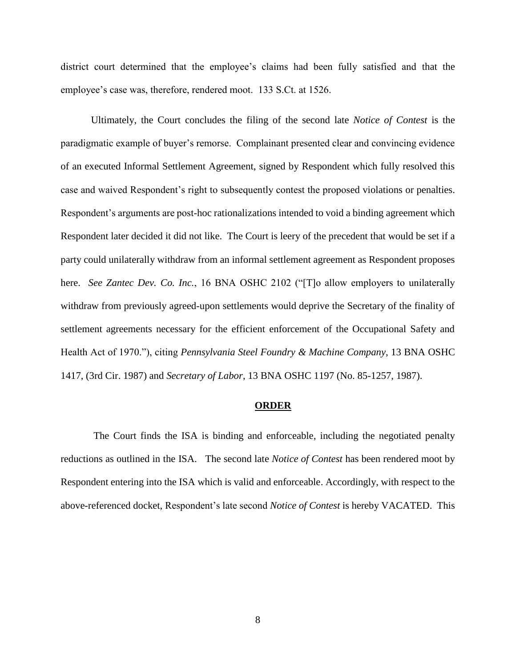district court determined that the employee's claims had been fully satisfied and that the employee's case was, therefore, rendered moot. 133 S.Ct. at 1526.

Ultimately, the Court concludes the filing of the second late *Notice of Contest* is the paradigmatic example of buyer's remorse. Complainant presented clear and convincing evidence of an executed Informal Settlement Agreement, signed by Respondent which fully resolved this case and waived Respondent's right to subsequently contest the proposed violations or penalties. Respondent's arguments are post-hoc rationalizations intended to void a binding agreement which Respondent later decided it did not like. The Court is leery of the precedent that would be set if a party could unilaterally withdraw from an informal settlement agreement as Respondent proposes here. *See Zantec Dev. Co. Inc.*, 16 BNA OSHC 2102 ("[T]o allow employers to unilaterally withdraw from previously agreed-upon settlements would deprive the Secretary of the finality of settlement agreements necessary for the efficient enforcement of the Occupational Safety and Health Act of 1970."), citing *Pennsylvania Steel Foundry & Machine Company*, 13 BNA OSHC 1417, (3rd Cir. 1987) and *Secretary of Labor*, 13 BNA OSHC 1197 (No. 85-1257, 1987).

### **ORDER**

The Court finds the ISA is binding and enforceable, including the negotiated penalty reductions as outlined in the ISA. The second late *Notice of Contest* has been rendered moot by Respondent entering into the ISA which is valid and enforceable. Accordingly, with respect to the above-referenced docket, Respondent's late second *Notice of Contest* is hereby VACATED. This